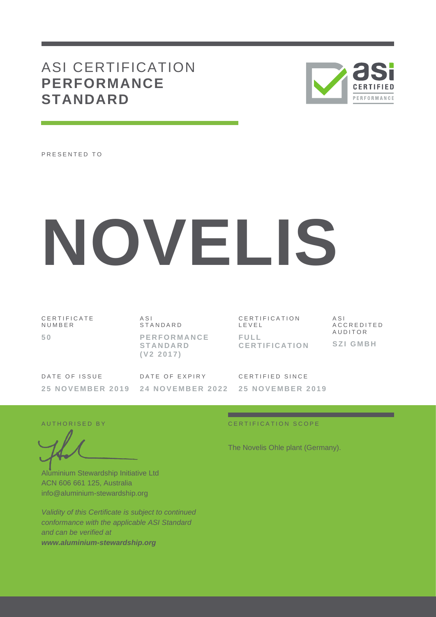# ASI CERTIFICATION **PERFORMANCE STANDARD**



PRESENTED TO

# **NOVELIS**

C E R T I F I C A T E N U M B E R **5 0**

A S I **STANDARD P E R F O R M A N C E S T A N D A R D ( V 2 2 0 1 7 )**

C E R T I F I C A T I O N L E V E L **F U L L C E R T I F I C A T I O N** A S I A C C R E D I T E D A U D I T O R **S Z I G M B H**

| DATE OF ISSUE | DATE OF EXPIRY                                     | CERTIFIED SINCE |
|---------------|----------------------------------------------------|-----------------|
|               | 25 NOVEMBER 2019 24 NOVEMBER 2022 25 NOVEMBER 2019 |                 |

Aluminium Stewardship Initiative Ltd ACN 606 661 125, Australia info@aluminium-stewardship.org

*Validity of this Certificate is subject to continued conformance with the applicable ASI Standard and can be verified at www.aluminium-stewardship.org*

### A U T HORISED BY CERTIFICATION SCOPE

The Novelis Ohle plant (Germany).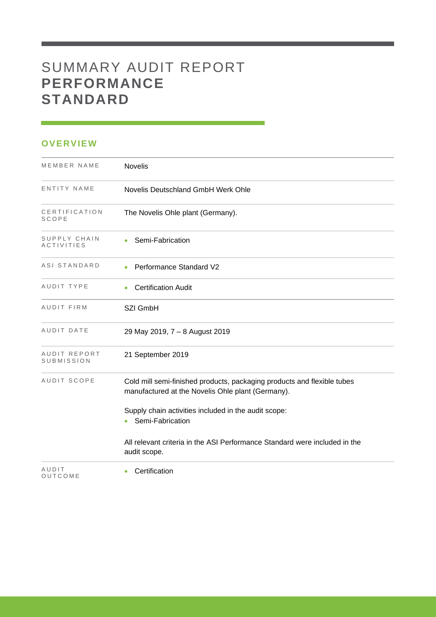# SUMMARY AUDIT REPORT **PERFORMANCE STANDARD**

### **OVERVIEW**

| MEMBER NAME                       | Novelis                                                                                                                      |
|-----------------------------------|------------------------------------------------------------------------------------------------------------------------------|
| ENTITY NAME                       | Novelis Deutschland GmbH Werk Ohle                                                                                           |
| CERTIFICATION<br>SCOPE            | The Novelis Ohle plant (Germany).                                                                                            |
| SUPPLY CHAIN<br><b>ACTIVITIES</b> | Semi-Fabrication                                                                                                             |
| ASI STANDARD                      | <b>Performance Standard V2</b>                                                                                               |
| AUDIT TYPE                        | <b>Certification Audit</b>                                                                                                   |
| AUDIT FIRM                        | SZI GmbH                                                                                                                     |
| AUDIT DATE                        | 29 May 2019, 7 - 8 August 2019                                                                                               |
| AUDIT REPORT<br>SUBMISSION        | 21 September 2019                                                                                                            |
| AUDIT SCOPE                       | Cold mill semi-finished products, packaging products and flexible tubes<br>manufactured at the Novelis Ohle plant (Germany). |
|                                   | Supply chain activities included in the audit scope:<br>Semi-Fabrication                                                     |
|                                   | All relevant criteria in the ASI Performance Standard were included in the<br>audit scope.                                   |
| AUDIT<br>OUTCOME                  | Certification                                                                                                                |

and the control of the control of the control of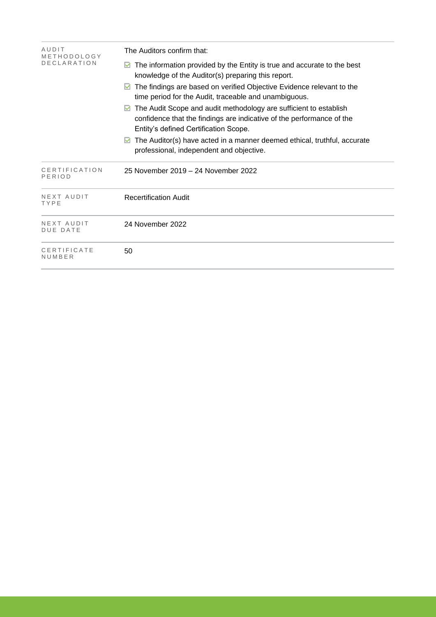| AUDIT<br>METHODOLOGY          | The Auditors confirm that:                                                                                                                                                          |  |  |  |
|-------------------------------|-------------------------------------------------------------------------------------------------------------------------------------------------------------------------------------|--|--|--|
| <b>DECLARATION</b>            | The information provided by the Entity is true and accurate to the best<br>knowledge of the Auditor(s) preparing this report.                                                       |  |  |  |
|                               | The findings are based on verified Objective Evidence relevant to the<br>M<br>time period for the Audit, traceable and unambiguous.                                                 |  |  |  |
|                               | The Audit Scope and audit methodology are sufficient to establish<br>confidence that the findings are indicative of the performance of the<br>Entity's defined Certification Scope. |  |  |  |
|                               | The Auditor(s) have acted in a manner deemed ethical, truthful, accurate<br>professional, independent and objective.                                                                |  |  |  |
| CERTIFICATION<br>PERIOD       | 25 November 2019 – 24 November 2022                                                                                                                                                 |  |  |  |
| NEXT AUDIT<br>TYPE            | <b>Recertification Audit</b>                                                                                                                                                        |  |  |  |
| NEXT AUDIT<br><b>DUE DATE</b> | 24 November 2022                                                                                                                                                                    |  |  |  |
| CERTIFICATE<br>NUMBER         | 50                                                                                                                                                                                  |  |  |  |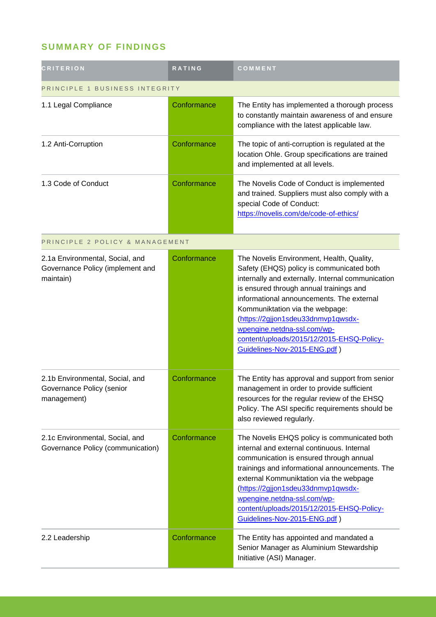## **SUMMARY OF FINDINGS**

| <b>CRITERION</b>                                                                 | <b>RATING</b> | COMMENT                                                                                                                                                                                                                                                                                                                                                                                                                  |  |
|----------------------------------------------------------------------------------|---------------|--------------------------------------------------------------------------------------------------------------------------------------------------------------------------------------------------------------------------------------------------------------------------------------------------------------------------------------------------------------------------------------------------------------------------|--|
| PRINCIPLE 1 BUSINESS INTEGRITY                                                   |               |                                                                                                                                                                                                                                                                                                                                                                                                                          |  |
| 1.1 Legal Compliance                                                             | Conformance   | The Entity has implemented a thorough process<br>to constantly maintain awareness of and ensure<br>compliance with the latest applicable law.                                                                                                                                                                                                                                                                            |  |
| 1.2 Anti-Corruption                                                              | Conformance   | The topic of anti-corruption is regulated at the<br>location Ohle. Group specifications are trained<br>and implemented at all levels.                                                                                                                                                                                                                                                                                    |  |
| 1.3 Code of Conduct                                                              | Conformance   | The Novelis Code of Conduct is implemented<br>and trained. Suppliers must also comply with a<br>special Code of Conduct:<br>https://novelis.com/de/code-of-ethics/                                                                                                                                                                                                                                                       |  |
| PRINCIPLE 2 POLICY & MANAGEMENT                                                  |               |                                                                                                                                                                                                                                                                                                                                                                                                                          |  |
| 2.1a Environmental, Social, and<br>Governance Policy (implement and<br>maintain) | Conformance   | The Novelis Environment, Health, Quality,<br>Safety (EHQS) policy is communicated both<br>internally and externally. Internal communication<br>is ensured through annual trainings and<br>informational announcements. The external<br>Kommuniktation via the webpage:<br>(https://2gjjon1sdeu33dnmvp1qwsdx-<br>wpengine.netdna-ssl.com/wp-<br>content/uploads/2015/12/2015-EHSQ-Policy-<br>Guidelines-Nov-2015-ENG.pdf) |  |
| 2.1b Environmental, Social, and<br>Governance Policy (senior<br>management)      | Conformance   | The Entity has approval and support from senior<br>management in order to provide sufficient<br>resources for the regular review of the EHSQ<br>Policy. The ASI specific requirements should be<br>also reviewed regularly.                                                                                                                                                                                              |  |
| 2.1c Environmental, Social, and<br>Governance Policy (communication)             | Conformance   | The Novelis EHQS policy is communicated both<br>internal and external continuous. Internal<br>communication is ensured through annual<br>trainings and informational announcements. The<br>external Kommuniktation via the webpage<br>(https://2gjjon1sdeu33dnmvp1qwsdx-<br>wpengine.netdna-ssl.com/wp-<br>content/uploads/2015/12/2015-EHSQ-Policy-<br>Guidelines-Nov-2015-ENG.pdf)                                     |  |
| 2.2 Leadership                                                                   | Conformance   | The Entity has appointed and mandated a<br>Senior Manager as Aluminium Stewardship<br>Initiative (ASI) Manager.                                                                                                                                                                                                                                                                                                          |  |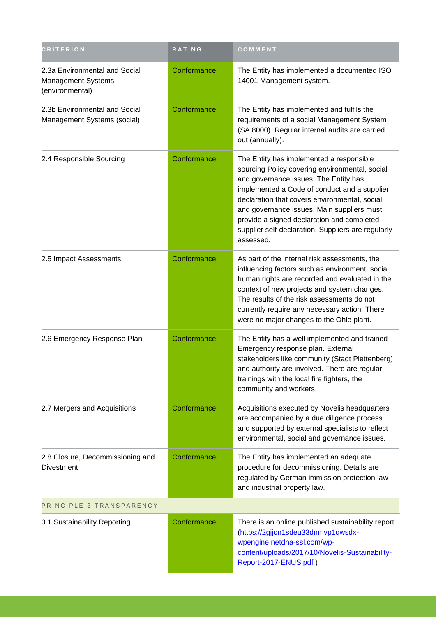| <b>CRITERION</b>                                                              | RATING      | COMMENT                                                                                                                                                                                                                                                                                                                                                                                             |
|-------------------------------------------------------------------------------|-------------|-----------------------------------------------------------------------------------------------------------------------------------------------------------------------------------------------------------------------------------------------------------------------------------------------------------------------------------------------------------------------------------------------------|
| 2.3a Environmental and Social<br><b>Management Systems</b><br>(environmental) | Conformance | The Entity has implemented a documented ISO<br>14001 Management system.                                                                                                                                                                                                                                                                                                                             |
| 2.3b Environmental and Social<br>Management Systems (social)                  | Conformance | The Entity has implemented and fulfils the<br>requirements of a social Management System<br>(SA 8000). Regular internal audits are carried<br>out (annually).                                                                                                                                                                                                                                       |
| 2.4 Responsible Sourcing                                                      | Conformance | The Entity has implemented a responsible<br>sourcing Policy covering environmental, social<br>and governance issues. The Entity has<br>implemented a Code of conduct and a supplier<br>declaration that covers environmental, social<br>and governance issues. Main suppliers must<br>provide a signed declaration and completed<br>supplier self-declaration. Suppliers are regularly<br>assessed. |
| 2.5 Impact Assessments                                                        | Conformance | As part of the internal risk assessments, the<br>influencing factors such as environment, social,<br>human rights are recorded and evaluated in the<br>context of new projects and system changes.<br>The results of the risk assessments do not<br>currently require any necessary action. There<br>were no major changes to the Ohle plant.                                                       |
| 2.6 Emergency Response Plan                                                   | Conformance | The Entity has a well implemented and trained<br>Emergency response plan. External<br>stakeholders like community (Stadt Plettenberg)<br>and authority are involved. There are regular<br>trainings with the local fire fighters, the<br>community and workers.                                                                                                                                     |
| 2.7 Mergers and Acquisitions                                                  | Conformance | Acquisitions executed by Novelis headquarters<br>are accompanied by a due diligence process<br>and supported by external specialists to reflect<br>environmental, social and governance issues.                                                                                                                                                                                                     |
| 2.8 Closure, Decommissioning and<br><b>Divestment</b>                         | Conformance | The Entity has implemented an adequate<br>procedure for decommissioning. Details are<br>regulated by German immission protection law<br>and industrial property law.                                                                                                                                                                                                                                |
| PRINCIPLE 3 TRANSPARENCY                                                      |             |                                                                                                                                                                                                                                                                                                                                                                                                     |
| 3.1 Sustainability Reporting                                                  | Conformance | There is an online published sustainability report<br>(https://2gjjon1sdeu33dnmvp1qwsdx-<br>wpengine.netdna-ssl.com/wp-<br>content/uploads/2017/10/Novelis-Sustainability-<br>Report-2017-ENUS.pdf)                                                                                                                                                                                                 |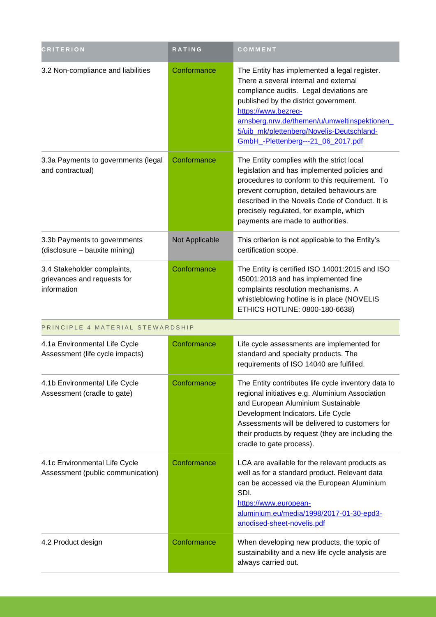| <b>CRITERION</b>                                                          | RATING         | COMMENT                                                                                                                                                                                                                                                                                                                             |
|---------------------------------------------------------------------------|----------------|-------------------------------------------------------------------------------------------------------------------------------------------------------------------------------------------------------------------------------------------------------------------------------------------------------------------------------------|
| 3.2 Non-compliance and liabilities                                        | Conformance    | The Entity has implemented a legal register.<br>There a several internal and external<br>compliance audits. Legal deviations are<br>published by the district government.<br>https://www.bezreg-<br>arnsberg.nrw.de/themen/u/umweltinspektionen_<br>5/uib_mk/plettenberg/Novelis-Deutschland-<br>GmbH_-Plettenberg---21_06_2017.pdf |
| 3.3a Payments to governments (legal<br>and contractual)                   | Conformance    | The Entity complies with the strict local<br>legislation and has implemented policies and<br>procedures to conform to this requirement. To<br>prevent corruption, detailed behaviours are<br>described in the Novelis Code of Conduct. It is<br>precisely regulated, for example, which<br>payments are made to authorities.        |
| 3.3b Payments to governments<br>(disclosure - bauxite mining)             | Not Applicable | This criterion is not applicable to the Entity's<br>certification scope.                                                                                                                                                                                                                                                            |
| 3.4 Stakeholder complaints,<br>grievances and requests for<br>information | Conformance    | The Entity is certified ISO 14001:2015 and ISO<br>45001:2018 and has implemented fine<br>complaints resolution mechanisms. A<br>whistleblowing hotline is in place (NOVELIS<br>ETHICS HOTLINE: 0800-180-6638)                                                                                                                       |
| PRINCIPLE 4 MATERIAL STEWARDSHIP                                          |                |                                                                                                                                                                                                                                                                                                                                     |
| 4.1a Environmental Life Cycle<br>Assessment (life cycle impacts)          | Conformance    | Life cycle assessments are implemented for<br>standard and specialty products. The<br>requirements of ISO 14040 are fulfilled.                                                                                                                                                                                                      |
| 4.1b Environmental Life Cycle<br>Assessment (cradle to gate)              | Conformance    | The Entity contributes life cycle inventory data to<br>regional initiatives e.g. Aluminium Association<br>and European Aluminium Sustainable<br>Development Indicators. Life Cycle<br>Assessments will be delivered to customers for<br>their products by request (they are including the<br>cradle to gate process).               |
| 4.1c Environmental Life Cycle<br>Assessment (public communication)        | Conformance    | LCA are available for the relevant products as<br>well as for a standard product. Relevant data<br>can be accessed via the European Aluminium<br>SDI.<br>https://www.european-<br>aluminium.eu/media/1998/2017-01-30-epd3-<br>anodised-sheet-novelis.pdf                                                                            |
| 4.2 Product design                                                        | Conformance    | When developing new products, the topic of<br>sustainability and a new life cycle analysis are<br>always carried out.                                                                                                                                                                                                               |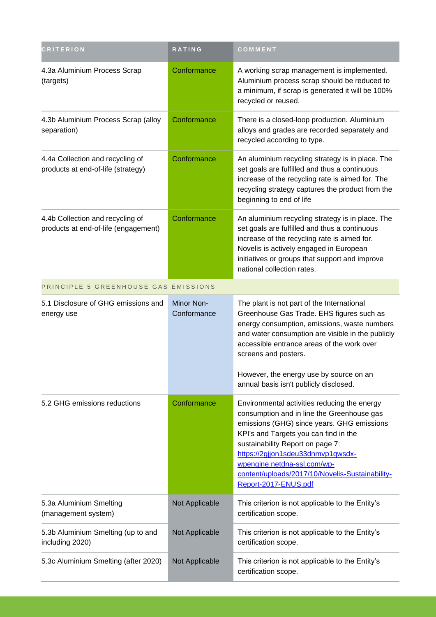| <b>CRITERION</b>                                                         | RATING                           | COMMENT                                                                                                                                                                                                                                                                                                                                                              |
|--------------------------------------------------------------------------|----------------------------------|----------------------------------------------------------------------------------------------------------------------------------------------------------------------------------------------------------------------------------------------------------------------------------------------------------------------------------------------------------------------|
| 4.3a Aluminium Process Scrap<br>(targets)                                | Conformance                      | A working scrap management is implemented.<br>Aluminium process scrap should be reduced to<br>a minimum, if scrap is generated it will be 100%<br>recycled or reused.                                                                                                                                                                                                |
| 4.3b Aluminium Process Scrap (alloy<br>separation)                       | Conformance                      | There is a closed-loop production. Aluminium<br>alloys and grades are recorded separately and<br>recycled according to type.                                                                                                                                                                                                                                         |
| 4.4a Collection and recycling of<br>products at end-of-life (strategy)   | Conformance                      | An aluminium recycling strategy is in place. The<br>set goals are fulfilled and thus a continuous<br>increase of the recycling rate is aimed for. The<br>recycling strategy captures the product from the<br>beginning to end of life                                                                                                                                |
| 4.4b Collection and recycling of<br>products at end-of-life (engagement) | Conformance                      | An aluminium recycling strategy is in place. The<br>set goals are fulfilled and thus a continuous<br>increase of the recycling rate is aimed for.<br>Novelis is actively engaged in European<br>initiatives or groups that support and improve<br>national collection rates.                                                                                         |
| PRINCIPLE 5 GREENHOUSE GAS EMISSIONS                                     |                                  |                                                                                                                                                                                                                                                                                                                                                                      |
| 5.1 Disclosure of GHG emissions and<br>energy use                        | <b>Minor Non-</b><br>Conformance | The plant is not part of the International<br>Greenhouse Gas Trade. EHS figures such as<br>energy consumption, emissions, waste numbers<br>and water consumption are visible in the publicly<br>accessible entrance areas of the work over<br>screens and posters.<br>However, the energy use by source on an                                                        |
|                                                                          |                                  | annual basis isn't publicly disclosed.                                                                                                                                                                                                                                                                                                                               |
| 5.2 GHG emissions reductions                                             | Conformance                      | Environmental activities reducing the energy<br>consumption and in line the Greenhouse gas<br>emissions (GHG) since years. GHG emissions<br>KPI's and Targets you can find in the<br>sustainability Report on page 7:<br>https://2gjjon1sdeu33dnmvp1qwsdx-<br>wpengine.netdna-ssl.com/wp-<br>content/uploads/2017/10/Novelis-Sustainability-<br>Report-2017-ENUS.pdf |
| 5.3a Aluminium Smelting<br>(management system)                           | Not Applicable                   | This criterion is not applicable to the Entity's<br>certification scope.                                                                                                                                                                                                                                                                                             |
| 5.3b Aluminium Smelting (up to and<br>including 2020)                    | Not Applicable                   | This criterion is not applicable to the Entity's<br>certification scope.                                                                                                                                                                                                                                                                                             |
| 5.3c Aluminium Smelting (after 2020)                                     | Not Applicable                   | This criterion is not applicable to the Entity's<br>certification scope.                                                                                                                                                                                                                                                                                             |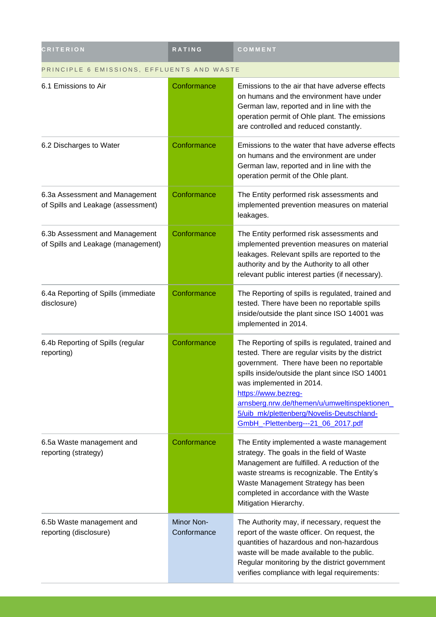| <b>CRITERION</b>                                                     | <b>RATING</b>             | COMMENT                                                                                                                                                                                                                                                                                                                                                                                    |
|----------------------------------------------------------------------|---------------------------|--------------------------------------------------------------------------------------------------------------------------------------------------------------------------------------------------------------------------------------------------------------------------------------------------------------------------------------------------------------------------------------------|
| PRINCIPLE 6 EMISSIONS, EFFLUENTS AND WASTE                           |                           |                                                                                                                                                                                                                                                                                                                                                                                            |
| 6.1 Emissions to Air                                                 | Conformance               | Emissions to the air that have adverse effects<br>on humans and the environment have under<br>German law, reported and in line with the<br>operation permit of Ohle plant. The emissions<br>are controlled and reduced constantly.                                                                                                                                                         |
| 6.2 Discharges to Water                                              | Conformance               | Emissions to the water that have adverse effects<br>on humans and the environment are under<br>German law, reported and in line with the<br>operation permit of the Ohle plant.                                                                                                                                                                                                            |
| 6.3a Assessment and Management<br>of Spills and Leakage (assessment) | Conformance               | The Entity performed risk assessments and<br>implemented prevention measures on material<br>leakages.                                                                                                                                                                                                                                                                                      |
| 6.3b Assessment and Management<br>of Spills and Leakage (management) | Conformance               | The Entity performed risk assessments and<br>implemented prevention measures on material<br>leakages. Relevant spills are reported to the<br>authority and by the Authority to all other<br>relevant public interest parties (if necessary).                                                                                                                                               |
| 6.4a Reporting of Spills (immediate<br>disclosure)                   | Conformance               | The Reporting of spills is regulated, trained and<br>tested. There have been no reportable spills<br>inside/outside the plant since ISO 14001 was<br>implemented in 2014.                                                                                                                                                                                                                  |
| 6.4b Reporting of Spills (regular<br>reporting)                      | Conformance               | The Reporting of spills is regulated, trained and<br>tested. There are regular visits by the district<br>government. There have been no reportable<br>spills inside/outside the plant since ISO 14001<br>was implemented in 2014.<br>https://www.bezreg-<br>arnsberg.nrw.de/themen/u/umweltinspektionen<br>5/uib_mk/plettenberg/Novelis-Deutschland-<br>GmbH_-Plettenberg---21_06_2017.pdf |
| 6.5a Waste management and<br>reporting (strategy)                    | Conformance               | The Entity implemented a waste management<br>strategy. The goals in the field of Waste<br>Management are fulfilled. A reduction of the<br>waste streams is recognizable. The Entity's<br>Waste Management Strategy has been<br>completed in accordance with the Waste<br>Mitigation Hierarchy.                                                                                             |
| 6.5b Waste management and<br>reporting (disclosure)                  | Minor Non-<br>Conformance | The Authority may, if necessary, request the<br>report of the waste officer. On request, the<br>quantities of hazardous and non-hazardous<br>waste will be made available to the public.<br>Regular monitoring by the district government<br>verifies compliance with legal requirements:                                                                                                  |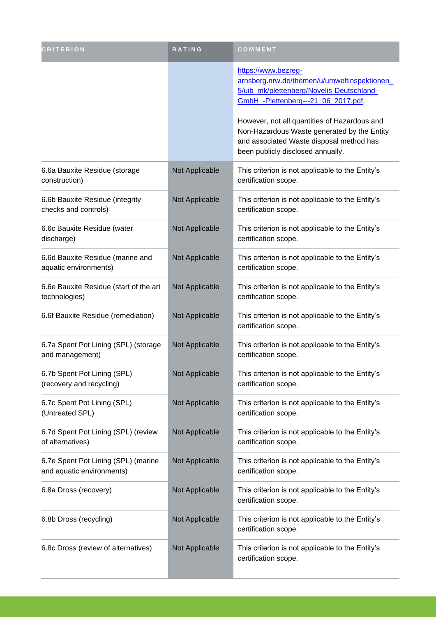| <b>CRITERION</b>                                                 | <b>RATING</b>  | COMMENT                                                                                                                                                                      |
|------------------------------------------------------------------|----------------|------------------------------------------------------------------------------------------------------------------------------------------------------------------------------|
|                                                                  |                | https://www.bezreg-<br>arnsberg.nrw.de/themen/u/umweltinspektionen_<br>5/uib_mk/plettenberg/Novelis-Deutschland-<br>GmbH -Plettenberg---21 06 2017.pdf.                      |
|                                                                  |                | However, not all quantities of Hazardous and<br>Non-Hazardous Waste generated by the Entity<br>and associated Waste disposal method has<br>been publicly disclosed annually. |
| 6.6a Bauxite Residue (storage<br>construction)                   | Not Applicable | This criterion is not applicable to the Entity's<br>certification scope.                                                                                                     |
| 6.6b Bauxite Residue (integrity<br>checks and controls)          | Not Applicable | This criterion is not applicable to the Entity's<br>certification scope.                                                                                                     |
| 6.6c Bauxite Residue (water<br>discharge)                        | Not Applicable | This criterion is not applicable to the Entity's<br>certification scope.                                                                                                     |
| 6.6d Bauxite Residue (marine and<br>aquatic environments)        | Not Applicable | This criterion is not applicable to the Entity's<br>certification scope.                                                                                                     |
| 6.6e Bauxite Residue (start of the art<br>technologies)          | Not Applicable | This criterion is not applicable to the Entity's<br>certification scope.                                                                                                     |
| 6.6f Bauxite Residue (remediation)                               | Not Applicable | This criterion is not applicable to the Entity's<br>certification scope.                                                                                                     |
| 6.7a Spent Pot Lining (SPL) (storage<br>and management)          | Not Applicable | This criterion is not applicable to the Entity's<br>certification scope.                                                                                                     |
| 6.7b Spent Pot Lining (SPL)<br>(recovery and recycling)          | Not Applicable | This criterion is not applicable to the Entity's<br>certification scope.                                                                                                     |
| 6.7c Spent Pot Lining (SPL)<br>(Untreated SPL)                   | Not Applicable | This criterion is not applicable to the Entity's<br>certification scope.                                                                                                     |
| 6.7d Spent Pot Lining (SPL) (review<br>of alternatives)          | Not Applicable | This criterion is not applicable to the Entity's<br>certification scope.                                                                                                     |
| 6.7e Spent Pot Lining (SPL) (marine<br>and aquatic environments) | Not Applicable | This criterion is not applicable to the Entity's<br>certification scope.                                                                                                     |
| 6.8a Dross (recovery)                                            | Not Applicable | This criterion is not applicable to the Entity's<br>certification scope.                                                                                                     |
| 6.8b Dross (recycling)                                           | Not Applicable | This criterion is not applicable to the Entity's<br>certification scope.                                                                                                     |
| 6.8c Dross (review of alternatives)                              | Not Applicable | This criterion is not applicable to the Entity's<br>certification scope.                                                                                                     |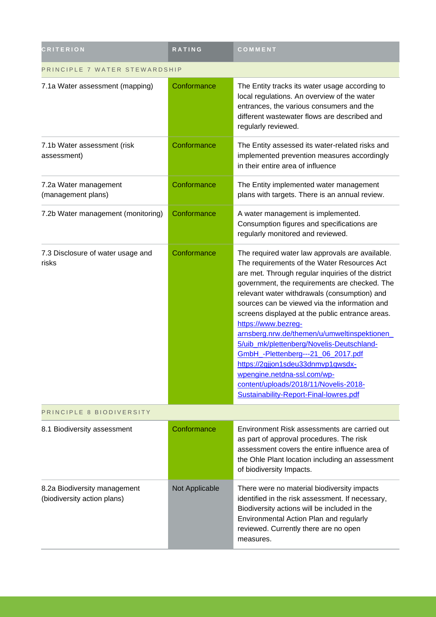| <b>CRITERION</b>                                            | <b>RATING</b>  | COMMENT                                                                                                                                                                                                                                                                                                                                                                                                                                                                                                                                                                                                                                                                   |
|-------------------------------------------------------------|----------------|---------------------------------------------------------------------------------------------------------------------------------------------------------------------------------------------------------------------------------------------------------------------------------------------------------------------------------------------------------------------------------------------------------------------------------------------------------------------------------------------------------------------------------------------------------------------------------------------------------------------------------------------------------------------------|
| PRINCIPLE 7 WATER STEWARDSHIP                               |                |                                                                                                                                                                                                                                                                                                                                                                                                                                                                                                                                                                                                                                                                           |
| 7.1a Water assessment (mapping)                             | Conformance    | The Entity tracks its water usage according to<br>local regulations. An overview of the water<br>entrances, the various consumers and the<br>different wastewater flows are described and<br>regularly reviewed.                                                                                                                                                                                                                                                                                                                                                                                                                                                          |
| 7.1b Water assessment (risk<br>assessment)                  | Conformance    | The Entity assessed its water-related risks and<br>implemented prevention measures accordingly<br>in their entire area of influence                                                                                                                                                                                                                                                                                                                                                                                                                                                                                                                                       |
| 7.2a Water management<br>(management plans)                 | Conformance    | The Entity implemented water management<br>plans with targets. There is an annual review.                                                                                                                                                                                                                                                                                                                                                                                                                                                                                                                                                                                 |
| 7.2b Water management (monitoring)                          | Conformance    | A water management is implemented.<br>Consumption figures and specifications are<br>regularly monitored and reviewed.                                                                                                                                                                                                                                                                                                                                                                                                                                                                                                                                                     |
| 7.3 Disclosure of water usage and<br>risks                  | Conformance    | The required water law approvals are available.<br>The requirements of the Water Resources Act<br>are met. Through regular inquiries of the district<br>government, the requirements are checked. The<br>relevant water withdrawals (consumption) and<br>sources can be viewed via the information and<br>screens displayed at the public entrance areas.<br>https://www.bezreg-<br>arnsberg.nrw.de/themen/u/umweltinspektionen<br>5/uib_mk/plettenberg/Novelis-Deutschland-<br>GmbH_-Plettenberg---21_06_2017.pdf<br>https://2gjjon1sdeu33dnmvp1qwsdx-<br>wpengine.netdna-ssl.com/wp-<br>content/uploads/2018/11/Novelis-2018-<br>Sustainability-Report-Final-lowres.pdf |
| PRINCIPLE 8 BIODIVERSITY                                    |                |                                                                                                                                                                                                                                                                                                                                                                                                                                                                                                                                                                                                                                                                           |
| 8.1 Biodiversity assessment                                 | Conformance    | Environment Risk assessments are carried out<br>as part of approval procedures. The risk<br>assessment covers the entire influence area of<br>the Ohle Plant location including an assessment<br>of biodiversity Impacts.                                                                                                                                                                                                                                                                                                                                                                                                                                                 |
| 8.2a Biodiversity management<br>(biodiversity action plans) | Not Applicable | There were no material biodiversity impacts<br>identified in the risk assessment. If necessary,<br>Biodiversity actions will be included in the<br>Environmental Action Plan and regularly<br>reviewed. Currently there are no open<br>measures.                                                                                                                                                                                                                                                                                                                                                                                                                          |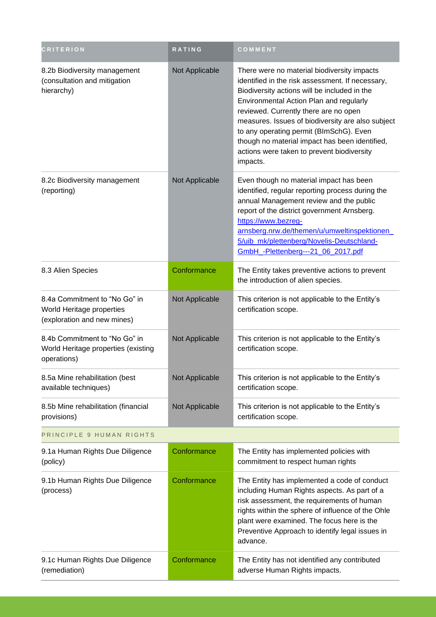| <b>CRITERION</b>                                                                          | <b>RATING</b>  | COMMENT                                                                                                                                                                                                                                                                                                                                                                                                                                         |
|-------------------------------------------------------------------------------------------|----------------|-------------------------------------------------------------------------------------------------------------------------------------------------------------------------------------------------------------------------------------------------------------------------------------------------------------------------------------------------------------------------------------------------------------------------------------------------|
| 8.2b Biodiversity management<br>(consultation and mitigation<br>hierarchy)                | Not Applicable | There were no material biodiversity impacts<br>identified in the risk assessment. If necessary,<br>Biodiversity actions will be included in the<br>Environmental Action Plan and regularly<br>reviewed. Currently there are no open<br>measures. Issues of biodiversity are also subject<br>to any operating permit (BImSchG). Even<br>though no material impact has been identified,<br>actions were taken to prevent biodiversity<br>impacts. |
| 8.2c Biodiversity management<br>(reporting)                                               | Not Applicable | Even though no material impact has been<br>identified, regular reporting process during the<br>annual Management review and the public<br>report of the district government Arnsberg.<br>https://www.bezreg-<br>arnsberg.nrw.de/themen/u/umweltinspektionen_<br>5/uib_mk/plettenberg/Novelis-Deutschland-<br>GmbH_-Plettenberg---21_06_2017.pdf                                                                                                 |
| 8.3 Alien Species                                                                         | Conformance    | The Entity takes preventive actions to prevent<br>the introduction of alien species.                                                                                                                                                                                                                                                                                                                                                            |
| 8.4a Commitment to "No Go" in<br>World Heritage properties<br>(exploration and new mines) | Not Applicable | This criterion is not applicable to the Entity's<br>certification scope.                                                                                                                                                                                                                                                                                                                                                                        |
| 8.4b Commitment to "No Go" in<br>World Heritage properties (existing<br>operations)       | Not Applicable | This criterion is not applicable to the Entity's<br>certification scope.                                                                                                                                                                                                                                                                                                                                                                        |
| 8.5a Mine rehabilitation (best<br>available techniques)                                   | Not Applicable | This criterion is not applicable to the Entity's<br>certification scope.                                                                                                                                                                                                                                                                                                                                                                        |
| 8.5b Mine rehabilitation (financial<br>provisions)                                        | Not Applicable | This criterion is not applicable to the Entity's<br>certification scope.                                                                                                                                                                                                                                                                                                                                                                        |
| PRINCIPLE 9 HUMAN RIGHTS                                                                  |                |                                                                                                                                                                                                                                                                                                                                                                                                                                                 |
| 9.1a Human Rights Due Diligence<br>(policy)                                               | Conformance    | The Entity has implemented policies with<br>commitment to respect human rights                                                                                                                                                                                                                                                                                                                                                                  |
| 9.1b Human Rights Due Diligence<br>(process)                                              | Conformance    | The Entity has implemented a code of conduct<br>including Human Rights aspects. As part of a<br>risk assessment, the requirements of human<br>rights within the sphere of influence of the Ohle<br>plant were examined. The focus here is the<br>Preventive Approach to identify legal issues in<br>advance.                                                                                                                                    |
| 9.1c Human Rights Due Diligence<br>(remediation)                                          | Conformance    | The Entity has not identified any contributed<br>adverse Human Rights impacts.                                                                                                                                                                                                                                                                                                                                                                  |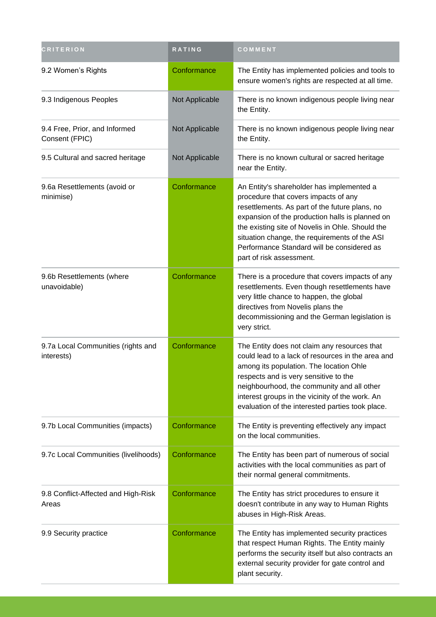| <b>CRITERION</b>                                 | RATING         | COMMENT                                                                                                                                                                                                                                                                                                                                                               |
|--------------------------------------------------|----------------|-----------------------------------------------------------------------------------------------------------------------------------------------------------------------------------------------------------------------------------------------------------------------------------------------------------------------------------------------------------------------|
| 9.2 Women's Rights                               | Conformance    | The Entity has implemented policies and tools to<br>ensure women's rights are respected at all time.                                                                                                                                                                                                                                                                  |
| 9.3 Indigenous Peoples                           | Not Applicable | There is no known indigenous people living near<br>the Entity.                                                                                                                                                                                                                                                                                                        |
| 9.4 Free, Prior, and Informed<br>Consent (FPIC)  | Not Applicable | There is no known indigenous people living near<br>the Entity.                                                                                                                                                                                                                                                                                                        |
| 9.5 Cultural and sacred heritage                 | Not Applicable | There is no known cultural or sacred heritage<br>near the Entity.                                                                                                                                                                                                                                                                                                     |
| 9.6a Resettlements (avoid or<br>minimise)        | Conformance    | An Entity's shareholder has implemented a<br>procedure that covers impacts of any<br>resettlements. As part of the future plans, no<br>expansion of the production halls is planned on<br>the existing site of Novelis in Ohle. Should the<br>situation change, the requirements of the ASI<br>Performance Standard will be considered as<br>part of risk assessment. |
| 9.6b Resettlements (where<br>unavoidable)        | Conformance    | There is a procedure that covers impacts of any<br>resettlements. Even though resettlements have<br>very little chance to happen, the global<br>directives from Novelis plans the<br>decommissioning and the German legislation is<br>very strict.                                                                                                                    |
| 9.7a Local Communities (rights and<br>interests) | Conformance    | The Entity does not claim any resources that<br>could lead to a lack of resources in the area and<br>among its population. The location Ohle<br>respects and is very sensitive to the<br>neighbourhood, the community and all other<br>interest groups in the vicinity of the work. An<br>evaluation of the interested parties took place.                            |
| 9.7b Local Communities (impacts)                 | Conformance    | The Entity is preventing effectively any impact<br>on the local communities.                                                                                                                                                                                                                                                                                          |
| 9.7c Local Communities (livelihoods)             | Conformance    | The Entity has been part of numerous of social<br>activities with the local communities as part of<br>their normal general commitments.                                                                                                                                                                                                                               |
| 9.8 Conflict-Affected and High-Risk<br>Areas     | Conformance    | The Entity has strict procedures to ensure it<br>doesn't contribute in any way to Human Rights<br>abuses in High-Risk Areas.                                                                                                                                                                                                                                          |
| 9.9 Security practice                            | Conformance    | The Entity has implemented security practices<br>that respect Human Rights. The Entity mainly<br>performs the security itself but also contracts an<br>external security provider for gate control and<br>plant security.                                                                                                                                             |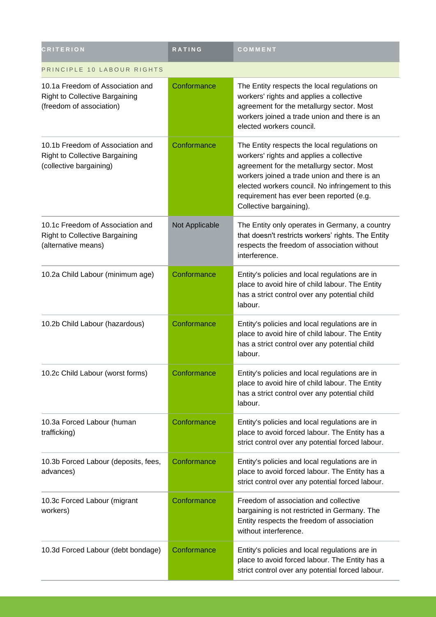| <b>CRITERION</b>                                                                                      | <b>RATING</b>  | COMMENT                                                                                                                                                                                                                                                                                                          |
|-------------------------------------------------------------------------------------------------------|----------------|------------------------------------------------------------------------------------------------------------------------------------------------------------------------------------------------------------------------------------------------------------------------------------------------------------------|
| PRINCIPLE 10 LABOUR RIGHTS                                                                            |                |                                                                                                                                                                                                                                                                                                                  |
| 10.1a Freedom of Association and<br><b>Right to Collective Bargaining</b><br>(freedom of association) | Conformance    | The Entity respects the local regulations on<br>workers' rights and applies a collective<br>agreement for the metallurgy sector. Most<br>workers joined a trade union and there is an<br>elected workers council.                                                                                                |
| 10.1b Freedom of Association and<br><b>Right to Collective Bargaining</b><br>(collective bargaining)  | Conformance    | The Entity respects the local regulations on<br>workers' rights and applies a collective<br>agreement for the metallurgy sector. Most<br>workers joined a trade union and there is an<br>elected workers council. No infringement to this<br>requirement has ever been reported (e.g.<br>Collective bargaining). |
| 10.1c Freedom of Association and<br><b>Right to Collective Bargaining</b><br>(alternative means)      | Not Applicable | The Entity only operates in Germany, a country<br>that doesn't restricts workers' rights. The Entity<br>respects the freedom of association without<br>interference.                                                                                                                                             |
| 10.2a Child Labour (minimum age)                                                                      | Conformance    | Entity's policies and local regulations are in<br>place to avoid hire of child labour. The Entity<br>has a strict control over any potential child<br>labour.                                                                                                                                                    |
| 10.2b Child Labour (hazardous)                                                                        | Conformance    | Entity's policies and local regulations are in<br>place to avoid hire of child labour. The Entity<br>has a strict control over any potential child<br>labour.                                                                                                                                                    |
| 10.2c Child Labour (worst forms)                                                                      | Conformance    | Entity's policies and local regulations are in<br>place to avoid hire of child labour. The Entity<br>has a strict control over any potential child<br>labour.                                                                                                                                                    |
| 10.3a Forced Labour (human<br>trafficking)                                                            | Conformance    | Entity's policies and local regulations are in<br>place to avoid forced labour. The Entity has a<br>strict control over any potential forced labour.                                                                                                                                                             |
| 10.3b Forced Labour (deposits, fees,<br>advances)                                                     | Conformance    | Entity's policies and local regulations are in<br>place to avoid forced labour. The Entity has a<br>strict control over any potential forced labour.                                                                                                                                                             |
| 10.3c Forced Labour (migrant<br>workers)                                                              | Conformance    | Freedom of association and collective<br>bargaining is not restricted in Germany. The<br>Entity respects the freedom of association<br>without interference.                                                                                                                                                     |
| 10.3d Forced Labour (debt bondage)                                                                    | Conformance    | Entity's policies and local regulations are in<br>place to avoid forced labour. The Entity has a<br>strict control over any potential forced labour.                                                                                                                                                             |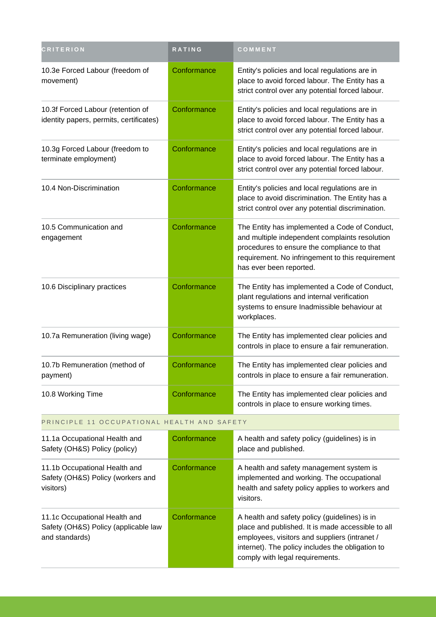| <b>CRITERION</b>                                                                        | <b>RATING</b> | COMMENT                                                                                                                                                                                                                                    |
|-----------------------------------------------------------------------------------------|---------------|--------------------------------------------------------------------------------------------------------------------------------------------------------------------------------------------------------------------------------------------|
| 10.3e Forced Labour (freedom of<br>movement)                                            | Conformance   | Entity's policies and local regulations are in<br>place to avoid forced labour. The Entity has a<br>strict control over any potential forced labour.                                                                                       |
| 10.3f Forced Labour (retention of<br>identity papers, permits, certificates)            | Conformance   | Entity's policies and local regulations are in<br>place to avoid forced labour. The Entity has a<br>strict control over any potential forced labour.                                                                                       |
| 10.3g Forced Labour (freedom to<br>terminate employment)                                | Conformance   | Entity's policies and local regulations are in<br>place to avoid forced labour. The Entity has a<br>strict control over any potential forced labour.                                                                                       |
| 10.4 Non-Discrimination                                                                 | Conformance   | Entity's policies and local regulations are in<br>place to avoid discrimination. The Entity has a<br>strict control over any potential discrimination.                                                                                     |
| 10.5 Communication and<br>engagement                                                    | Conformance   | The Entity has implemented a Code of Conduct,<br>and multiple independent complaints resolution<br>procedures to ensure the compliance to that<br>requirement. No infringement to this requirement<br>has ever been reported.              |
| 10.6 Disciplinary practices                                                             | Conformance   | The Entity has implemented a Code of Conduct,<br>plant regulations and internal verification<br>systems to ensure Inadmissible behaviour at<br>workplaces.                                                                                 |
| 10.7a Remuneration (living wage)                                                        | Conformance   | The Entity has implemented clear policies and<br>controls in place to ensure a fair remuneration.                                                                                                                                          |
| 10.7b Remuneration (method of<br>payment)                                               | Conformance   | The Entity has implemented clear policies and<br>controls in place to ensure a fair remuneration.                                                                                                                                          |
| 10.8 Working Time                                                                       | Conformance   | The Entity has implemented clear policies and<br>controls in place to ensure working times.                                                                                                                                                |
| PRINCIPLE 11 OCCUPATIONAL HEALTH AND SAFETY                                             |               |                                                                                                                                                                                                                                            |
| 11.1a Occupational Health and<br>Safety (OH&S) Policy (policy)                          | Conformance   | A health and safety policy (guidelines) is in<br>place and published.                                                                                                                                                                      |
| 11.1b Occupational Health and<br>Safety (OH&S) Policy (workers and<br>visitors)         | Conformance   | A health and safety management system is<br>implemented and working. The occupational<br>health and safety policy applies to workers and<br>visitors.                                                                                      |
| 11.1c Occupational Health and<br>Safety (OH&S) Policy (applicable law<br>and standards) | Conformance   | A health and safety policy (guidelines) is in<br>place and published. It is made accessible to all<br>employees, visitors and suppliers (intranet /<br>internet). The policy includes the obligation to<br>comply with legal requirements. |